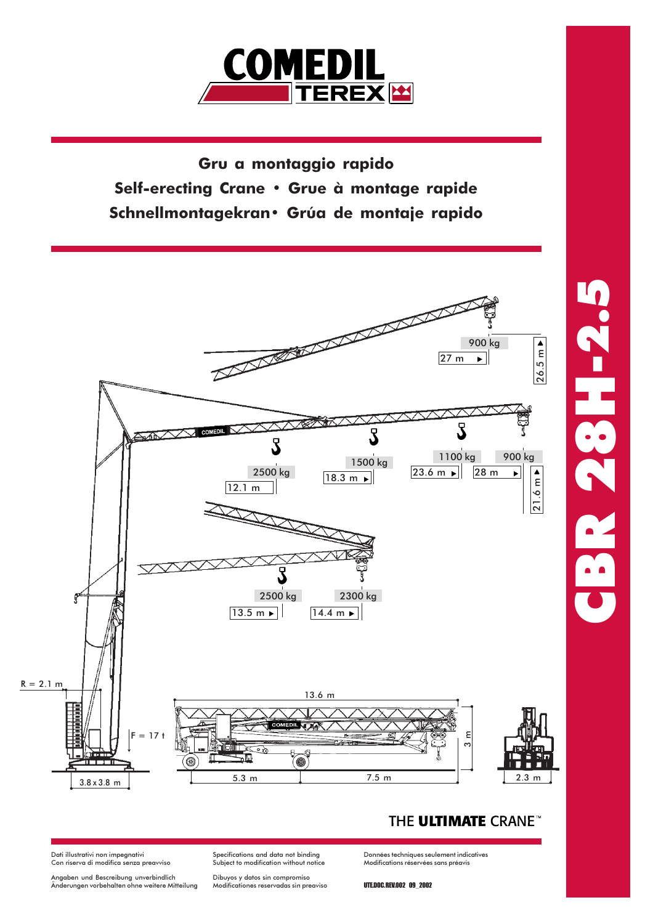

Gru a montaggio rapido Self-erecting Crane · Grue à montage rapide Schnellmontagekran · Grúa de montaje rapido



## THE ULTIMATE CRANE<sup>®</sup>

Dati illustrativi non impegnativi<br>Con riserva di modifica senza preavviso

Angaben und Bescreibung unverbindlich<br>Änderungen vorbehalten ohne weitere Mitteilung

Specifications and data not binding<br>Subject to modification without notice

Dibuyos y datos sin compromiso<br>Modificationes reservadas sin preaviso

Données techniques seulement indicatives<br>Modifications réservées sans préavis

**UTEDOC REV.002 09 2002**